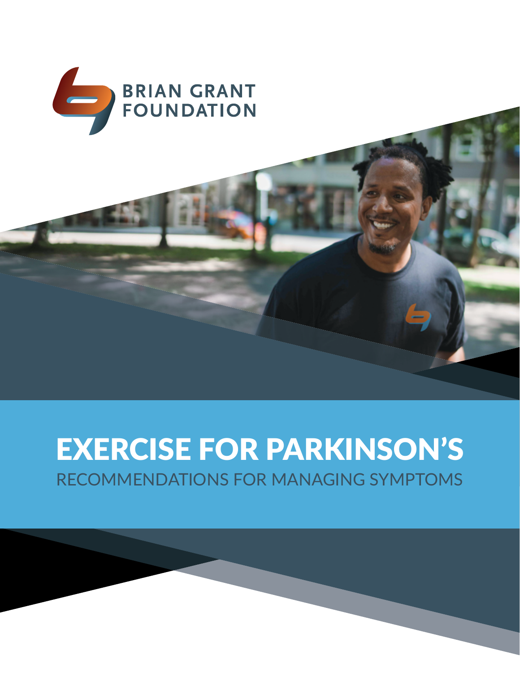

# EXERCISE FOR PARKINSON'S RECOMMENDATIONS FOR MANAGING SYMPTOMS

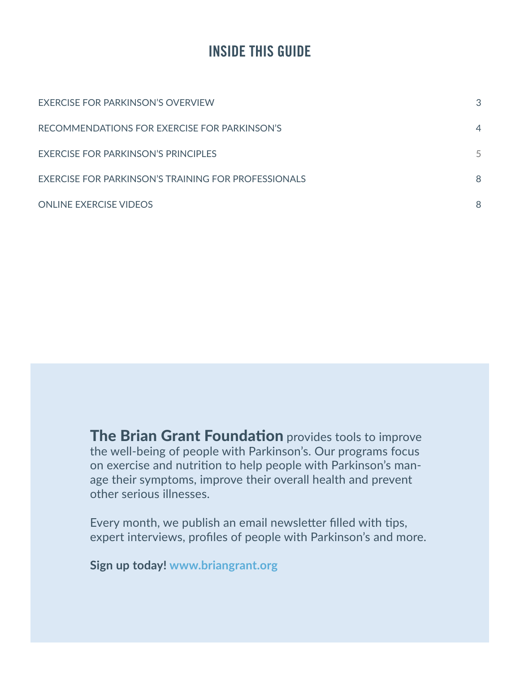### INSIDE THIS GUIDE

| <b>EXERCISE FOR PARKINSON'S OVERVIEW</b>            | 3 |
|-----------------------------------------------------|---|
| RECOMMENDATIONS FOR EXERCISE FOR PARKINSON'S        | 4 |
| <b>EXERCISE FOR PARKINSON'S PRINCIPLES</b>          | 5 |
| EXERCISE FOR PARKINSON'S TRAINING FOR PROFESSIONALS | 8 |
| <b>ONLINE EXERCISE VIDEOS</b>                       | 8 |

The Brian Grant Foundation provides tools to improve the well-being of people with Parkinson's. Our programs focus on exercise and nutriton to help people with Parkinson's manage their symptoms, improve their overall health and prevent other serious illnesses.

Every month, we publish an email newsletter filled with tips, expert interviews, profles of people with Parkinson's and more.

**Sign up today! www.briangrant.org**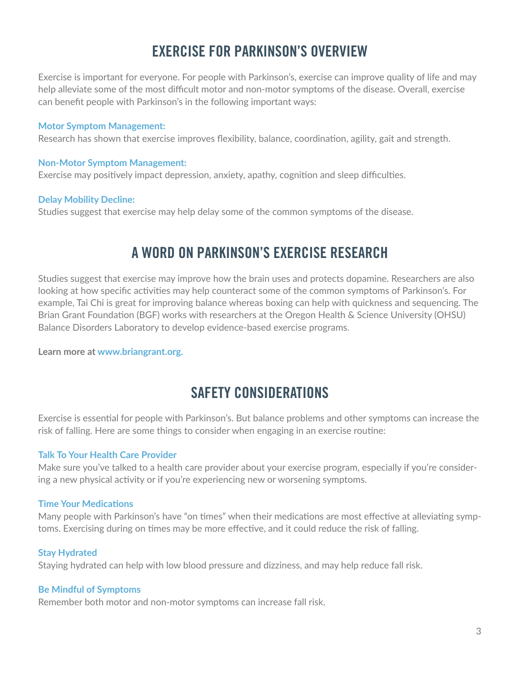### EXERCISE FOR PARKINSON'S OVERVIEW

Exercise is important for everyone. For people with Parkinson's, exercise can improve quality of life and may help alleviate some of the most difficult motor and non-motor symptoms of the disease. Overall, exercise can beneft people with Parkinson's in the following important ways:

#### **Motor Symptom Management:**

Research has shown that exercise improves flexibility, balance, coordination, agility, gait and strength.

#### **Non-Motor Symptom Management:**

Exercise may positively impact depression, anxiety, apathy, cognition and sleep difficulties.

#### **Delay Mobility Decline:**

Studies suggest that exercise may help delay some of the common symptoms of the disease.

### A WORD ON PARKINSON'S EXERCISE RESEARCH

Studies suggest that exercise may improve how the brain uses and protects dopamine. Researchers are also looking at how specific activities may help counteract some of the common symptoms of Parkinson's. For example, Tai Chi is great for improving balance whereas boxing can help with quickness and sequencing. The Brian Grant Foundation (BGF) works with researchers at the Oregon Health & Science University (OHSU) Balance Disorders Laboratory to develop evidence-based exercise programs.

**Learn more at www.briangrant.org.**

### SAFETY CONSIDERATIONS

Exercise is essental for people with Parkinson's. But balance problems and other symptoms can increase the risk of falling. Here are some things to consider when engaging in an exercise routne:

#### **Talk To Your Health Care Provider**

Make sure you've talked to a health care provider about your exercise program, especially if you're considering a new physical activity or if you're experiencing new or worsening symptoms.

#### **Time Your Medications**

Many people with Parkinson's have "on times" when their medications are most effective at alleviating symptoms. Exercising during on times may be more effective, and it could reduce the risk of falling.

#### **Stay Hydrated**

Staying hydrated can help with low blood pressure and dizziness, and may help reduce fall risk.

#### **Be Mindful of Symptoms**

Remember both motor and non-motor symptoms can increase fall risk.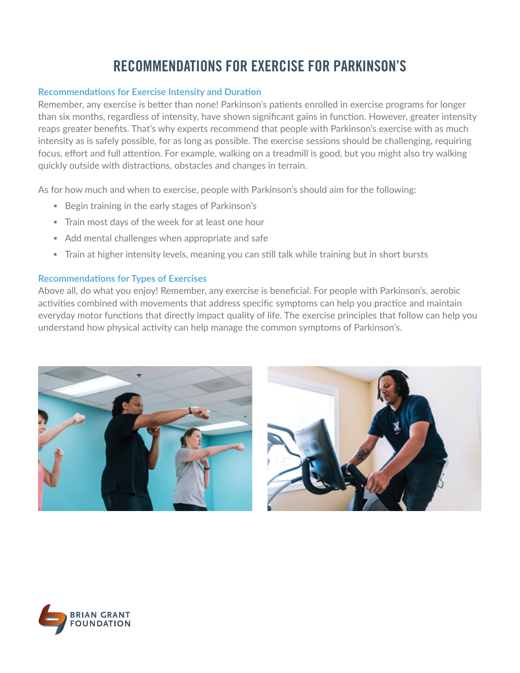### RECOMMENDATIONS FOR EXERCISE FOR PARKINSON'S

#### **Recommendations for Exercise Intensity and Duration**

Remember, any exercise is better than none! Parkinson's patients enrolled in exercise programs for longer than six months, regardless of intensity, have shown significant gains in function. However, greater intensity reaps greater benefts. That's why experts recommend that people with Parkinson's exercise with as much intensity as is safely possible, for as long as possible. The exercise sessions should be challenging, requiring focus, effort and full attention. For example, walking on a treadmill is good, but you might also try walking quickly outside with distractions, obstacles and changes in terrain.

As for how much and when to exercise, people with Parkinson's should aim for the following:

- Begin training in the early stages of Parkinson's
- **EXECT:** Train most days of the week for at least one hour
- Add mental challenges when appropriate and safe
- **•** Train at higher intensity levels, meaning you can still talk while training but in short bursts

#### **Recommendations for Types of Exercises**

Above all, do what you enjoy! Remember, any exercise is benefcial. For people with Parkinson's, aerobic activities combined with movements that address specific symptoms can help you practice and maintain everyday motor functions that directly impact quality of life. The exercise principles that follow can help you understand how physical activity can help manage the common symptoms of Parkinson's.





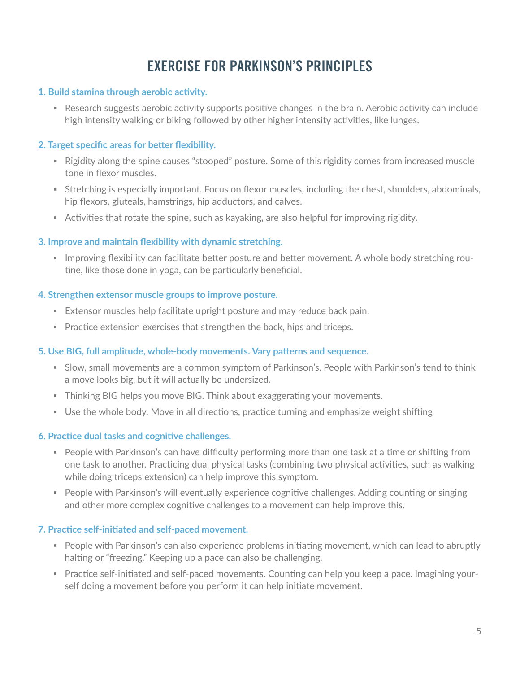### EXERCISE FOR PARKINSON'S PRINCIPLES

#### **1. Build stamina through aerobic activity.**

■ Research suggests aerobic activity supports positive changes in the brain. Aerobic activity can include high intensity walking or biking followed by other higher intensity activities, like lunges.

#### **2. Target specifc areas for beter fexibility.**

- Rigidity along the spine causes "stooped" posture. Some of this rigidity comes from increased muscle tone in fexor muscles.
- **EXEC EXECT INCO EXECT 15 STEET IS EXECT THE STEET IS SEENTED IS SETAON IN SETAON IN SETAON** Step-inals, abdominals, hip flexors, gluteals, hamstrings, hip adductors, and calves.
- Activities that rotate the spine, such as kayaking, are also helpful for improving rigidity.

#### **3. Improve and maintain fexibility with dynamic stretching.**

**EXED** Improving flexibility can facilitate better posture and better movement. A whole body stretching routine, like those done in yoga, can be particularly beneficial.

#### **4. Strengthen extensor muscle groups to improve posture.**

- **Extensor muscles help facilitate upright posture and may reduce back pain.**
- Practice extension exercises that strengthen the back, hips and triceps.

#### **5. Use BIG, full amplitude, whole-body movements. Vary paterns and sequence.**

- **EXECT SLOW, small movements are a common symptom of Parkinson's. People with Parkinson's tend to think** a move looks big, but it will actually be undersized.
- **Thinking BIG helps you move BIG. Think about exaggerating your movements.**
- Use the whole body. Move in all directions, practice turning and emphasize weight shifting

#### **6. Practice dual tasks and cognitive challenges.**

- People with Parkinson's can have difficulty performing more than one task at a time or shifting from one task to another. Practicing dual physical tasks (combining two physical activities, such as walking while doing triceps extension) can help improve this symptom.
- People with Parkinson's will eventually experience cognitive challenges. Adding counting or singing and other more complex cognitve challenges to a movement can help improve this.

#### **7. Practice self-initiated and self-paced movement.**

- People with Parkinson's can also experience problems initiating movement, which can lead to abruptly halting or "freezing." Keeping up a pace can also be challenging.
- Practice self-initiated and self-paced movements. Counting can help you keep a pace. Imagining yourself doing a movement before you perform it can help initate movement.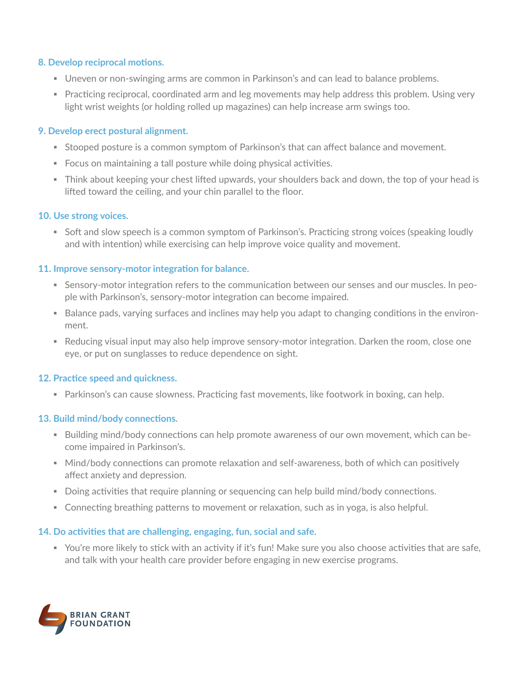#### **8. Develop reciprocal motions.**

- Uneven or non-swinging arms are common in Parkinson's and can lead to balance problems.
- Practicing reciprocal, coordinated arm and leg movements may help address this problem. Using very light wrist weights (or holding rolled up magazines) can help increase arm swings too.

#### **9. Develop erect postural alignment.**

- Stooped posture is a common symptom of Parkinson's that can affect balance and movement.
- Focus on maintaining a tall posture while doing physical activities.
- **.** Think about keeping your chest lifted upwards, your shoulders back and down, the top of your head is lifted toward the ceiling, and your chin parallel to the floor.

#### **10. Use strong voices.**

• Soft and slow speech is a common symptom of Parkinson's. Practicing strong voices (speaking loudly and with intention) while exercising can help improve voice quality and movement.

#### 11. Improve sensory-motor integration for balance.

- Sensory-motor integration refers to the communication between our senses and our muscles. In people with Parkinson's, sensory-motor integration can become impaired.
- **•** Balance pads, varying surfaces and inclines may help you adapt to changing conditions in the environment.
- Reducing visual input may also help improve sensory-motor integration. Darken the room, close one eye, or put on sunglasses to reduce dependence on sight.

#### **12. Practice speed and quickness.**

**• Parkinson's can cause slowness. Practicing fast movements, like footwork in boxing, can help.** 

#### 13. Build mind/body connections.

- **EXECT 10 FM BUILG 10 FM BUILG 10 FM BUILG 10 FM BUILG 10 FM BUILG 10 FM BUILG 10 FM BUILG 10 FM BUILG 10 FM BU** come impaired in Parkinson's.
- Mind/body connections can promote relaxation and self-awareness, both of which can positively afect anxiety and depression.
- **Doing activities that require planning or sequencing can help build mind/body connections.**
- Connecting breathing patterns to movement or relaxation, such as in yoga, is also helpful.

#### **14. Do actvites that are challenging, engaging, fun, social and safe.**

■ You're more likely to stick with an activity if it's fun! Make sure you also choose activities that are safe, and talk with your health care provider before engaging in new exercise programs.

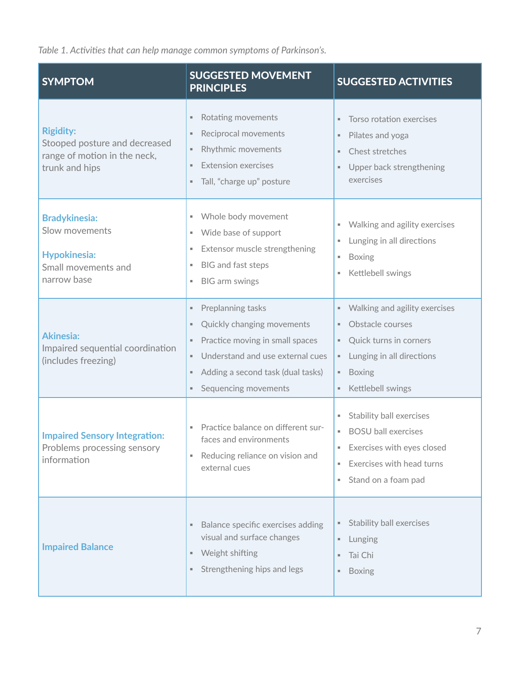*Table 1. Actvites that can help manage common symptoms of Parkinson's.*

| <b>SYMPTOM</b>                                                                                      | <b>SUGGESTED MOVEMENT</b><br><b>PRINCIPLES</b>                                                                                                                                                                                                           | <b>SUGGESTED ACTIVITIES</b>                                                                                                                                          |
|-----------------------------------------------------------------------------------------------------|----------------------------------------------------------------------------------------------------------------------------------------------------------------------------------------------------------------------------------------------------------|----------------------------------------------------------------------------------------------------------------------------------------------------------------------|
| <b>Rigidity:</b><br>Stooped posture and decreased<br>range of motion in the neck,<br>trunk and hips | Rotating movements<br>٠<br>Reciprocal movements<br>$\blacksquare$<br>Rhythmic movements<br>$\blacksquare$<br><b>Extension exercises</b><br>$\mathbf{u}$<br>Tall, "charge up" posture<br>$\blacksquare$                                                   | Torso rotation exercises<br>×,<br>Pilates and yoga<br>Chest stretches<br>$\blacksquare$<br>Upper back strengthening<br>×,<br>exercises                               |
| <b>Bradykinesia:</b><br>Slow movements<br><b>Hypokinesia:</b><br>Small movements and<br>narrow base | Whole body movement<br>٠<br>Wide base of support<br>٠<br>Extensor muscle strengthening<br>٠<br>BIG and fast steps<br>٠<br><b>BIG</b> arm swings<br>٠                                                                                                     | Walking and agility exercises<br>٠<br>Lunging in all directions<br>٠<br><b>Boxing</b><br>٠<br>Kettlebell swings<br>٠                                                 |
| <b>Akinesia:</b><br>Impaired sequential coordination<br>(includes freezing)                         | Preplanning tasks<br>$\alpha$<br>Quickly changing movements<br>$\blacksquare$<br>Practice moving in small spaces<br>$\blacksquare$<br>Understand and use external cues<br>$\mathbf{u}$<br>Adding a second task (dual tasks)<br>٠<br>Sequencing movements | Walking and agility exercises<br>×,<br>Obstacle courses<br>Quick turns in corners<br>٠<br>Lunging in all directions<br>×,<br><b>Boxing</b><br>٠<br>Kettlebell swings |
| <b>Impaired Sensory Integration:</b><br>Problems processing sensory<br>information                  | Practice balance on different sur-<br>faces and environments<br>Reducing reliance on vision and<br>٠,<br>external cues                                                                                                                                   | Stability ball exercises<br><b>BOSU</b> ball exercises<br>Exercises with eyes closed<br>ш<br>Exercises with head turns<br>Stand on a foam pad<br>٠                   |
| <b>Impaired Balance</b>                                                                             | Balance specific exercises adding<br>visual and surface changes<br>Weight shifting<br>٠<br>Strengthening hips and legs<br>٠                                                                                                                              | Stability ball exercises<br>Lunging<br>Tai Chi<br><b>Boxing</b><br>٠                                                                                                 |